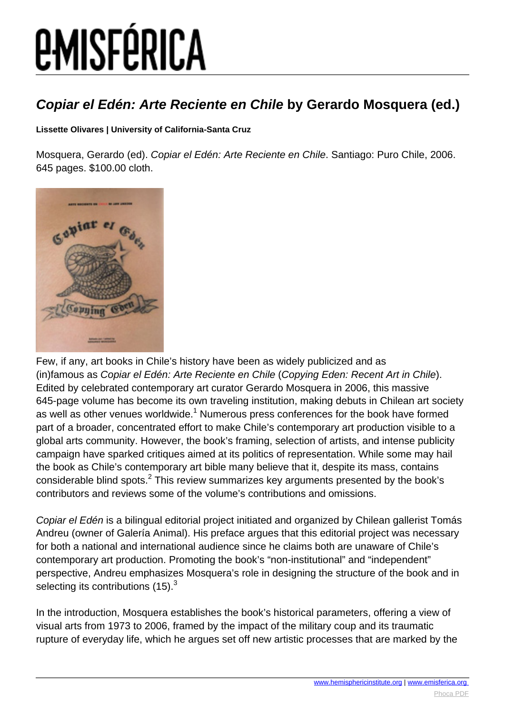# *EMISFÉRICA*

### **Copiar el Edén: Arte Reciente en Chile by Gerardo Mosquera (ed.)**

#### **Lissette Olivares | University of California-Santa Cruz**

Mosquera, Gerardo (ed). Copiar el Edén: Arte Reciente en Chile. Santiago: Puro Chile, 2006. 645 pages. \$100.00 cloth.



Few, if any, art books in Chile's history have been as widely publicized and as (in)famous as Copiar el Edén: Arte Reciente en Chile (Copying Eden: Recent Art in Chile). Edited by celebrated contemporary art curator Gerardo Mosquera in 2006, this massive 645-page volume has become its own traveling institution, making debuts in Chilean art society as well as other venues worldwide.<sup>1</sup> Numerous press conferences for the book have formed part of a broader, concentrated effort to make Chile's contemporary art production visible to a global arts community. However, the book's framing, selection of artists, and intense publicity campaign have sparked critiques aimed at its politics of representation. While some may hail the book as Chile's contemporary art bible many believe that it, despite its mass, contains considerable blind spots. $^2$  This review summarizes key arguments presented by the book's contributors and reviews some of the volume's contributions and omissions.

Copiar el Edén is a bilingual editorial project initiated and organized by Chilean gallerist Tomás Andreu (owner of Galería Animal). His preface argues that this editorial project was necessary for both a national and international audience since he claims both are unaware of Chile's contemporary art production. Promoting the book's "non-institutional" and "independent" perspective, Andreu emphasizes Mosquera's role in designing the structure of the book and in selecting its contributions  $(15)$ .<sup>3</sup>

In the introduction, Mosquera establishes the book's historical parameters, offering a view of visual arts from 1973 to 2006, framed by the impact of the military coup and its traumatic rupture of everyday life, which he argues set off new artistic processes that are marked by the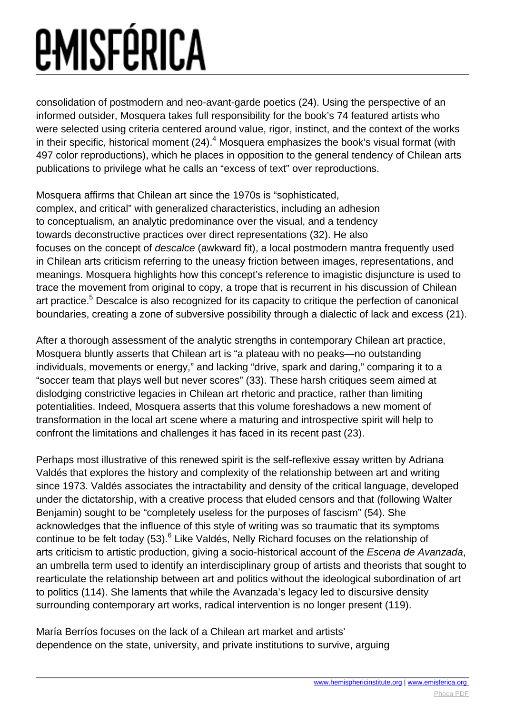# *<u>EMISFÉRICA</u>*

consolidation of postmodern and neo-avant-garde poetics (24). Using the perspective of an informed outsider, Mosquera takes full responsibility for the book's 74 featured artists who were selected using criteria centered around value, rigor, instinct, and the context of the works in their specific, historical moment (24). $^4$  Mosquera emphasizes the book's visual format (with 497 color reproductions), which he places in opposition to the general tendency of Chilean arts publications to privilege what he calls an "excess of text" over reproductions.

Mosquera affirms that Chilean art since the 1970s is "sophisticated, complex, and critical" with generalized characteristics, including an adhesion to conceptualism, an analytic predominance over the visual, and a tendency towards deconstructive practices over direct representations (32). He also focuses on the concept of descalce (awkward fit), a local postmodern mantra frequently used in Chilean arts criticism referring to the uneasy friction between images, representations, and meanings. Mosquera highlights how this concept's reference to imagistic disjuncture is used to trace the movement from original to copy, a trope that is recurrent in his discussion of Chilean art practice.<sup>5</sup> Descalce is also recognized for its capacity to critique the perfection of canonical boundaries, creating a zone of subversive possibility through a dialectic of lack and excess (21).

After a thorough assessment of the analytic strengths in contemporary Chilean art practice, Mosquera bluntly asserts that Chilean art is "a plateau with no peaks—no outstanding individuals, movements or energy," and lacking "drive, spark and daring," comparing it to a "soccer team that plays well but never scores" (33). These harsh critiques seem aimed at dislodging constrictive legacies in Chilean art rhetoric and practice, rather than limiting potentialities. Indeed, Mosquera asserts that this volume foreshadows a new moment of transformation in the local art scene where a maturing and introspective spirit will help to confront the limitations and challenges it has faced in its recent past (23).

Perhaps most illustrative of this renewed spirit is the self-reflexive essay written by Adriana Valdés that explores the history and complexity of the relationship between art and writing since 1973. Valdés associates the intractability and density of the critical language, developed under the dictatorship, with a creative process that eluded censors and that (following Walter Benjamin) sought to be "completely useless for the purposes of fascism" (54). She acknowledges that the influence of this style of writing was so traumatic that its symptoms continue to be felt today (53).<sup>6</sup> Like Valdés, Nelly Richard focuses on the relationship of arts criticism to artistic production, giving a socio-historical account of the Escena de Avanzada, an umbrella term used to identify an interdisciplinary group of artists and theorists that sought to rearticulate the relationship between art and politics without the ideological subordination of art to politics (114). She laments that while the Avanzada's legacy led to discursive density surrounding contemporary art works, radical intervention is no longer present (119).

María Berríos focuses on the lack of a Chilean art market and artists' dependence on the state, university, and private institutions to survive, arguing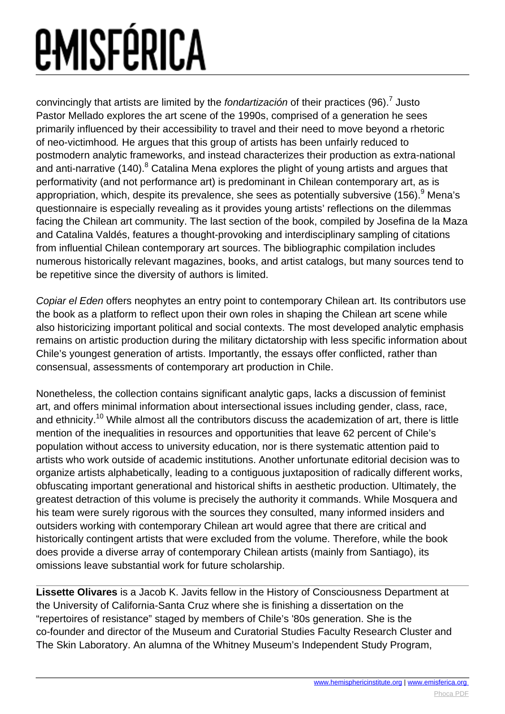# *<u>EMISFÉRICA</u>*

convincingly that artists are limited by the fondartización of their practices (96).<sup>7</sup> Justo Pastor Mellado explores the art scene of the 1990s, comprised of a generation he sees primarily influenced by their accessibility to travel and their need to move beyond a rhetoric of neo-victimhood. He argues that this group of artists has been unfairly reduced to postmodern analytic frameworks, and instead characterizes their production as extra-national and anti-narrative (140). $^8$  Catalina Mena explores the plight of young artists and argues that performativity (and not performance art) is predominant in Chilean contemporary art, as is appropriation, which, despite its prevalence, she sees as potentially subversive (156). $^9$  Mena's questionnaire is especially revealing as it provides young artists' reflections on the dilemmas facing the Chilean art community. The last section of the book, compiled by Josefina de la Maza and Catalina Valdés, features a thought-provoking and interdisciplinary sampling of citations from influential Chilean contemporary art sources. The bibliographic compilation includes numerous historically relevant magazines, books, and artist catalogs, but many sources tend to be repetitive since the diversity of authors is limited.

Copiar el Eden offers neophytes an entry point to contemporary Chilean art. Its contributors use the book as a platform to reflect upon their own roles in shaping the Chilean art scene while also historicizing important political and social contexts. The most developed analytic emphasis remains on artistic production during the military dictatorship with less specific information about Chile's youngest generation of artists. Importantly, the essays offer conflicted, rather than consensual, assessments of contemporary art production in Chile.

Nonetheless, the collection contains significant analytic gaps, lacks a discussion of feminist art, and offers minimal information about intersectional issues including gender, class, race, and ethnicity.<sup>10</sup> While almost all the contributors discuss the academization of art, there is little mention of the inequalities in resources and opportunities that leave 62 percent of Chile's population without access to university education, nor is there systematic attention paid to artists who work outside of academic institutions. Another unfortunate editorial decision was to organize artists alphabetically, leading to a contiguous juxtaposition of radically different works, obfuscating important generational and historical shifts in aesthetic production. Ultimately, the greatest detraction of this volume is precisely the authority it commands. While Mosquera and his team were surely rigorous with the sources they consulted, many informed insiders and outsiders working with contemporary Chilean art would agree that there are critical and historically contingent artists that were excluded from the volume. Therefore, while the book does provide a diverse array of contemporary Chilean artists (mainly from Santiago), its omissions leave substantial work for future scholarship.

**Lissette Olivares** is a Jacob K. Javits fellow in the History of Consciousness Department at the University of California-Santa Cruz where she is finishing a dissertation on the "repertoires of resistance" staged by members of Chile's '80s generation. She is the co-founder and director of the Museum and Curatorial Studies Faculty Research Cluster and The Skin Laboratory. An alumna of the Whitney Museum's Independent Study Program,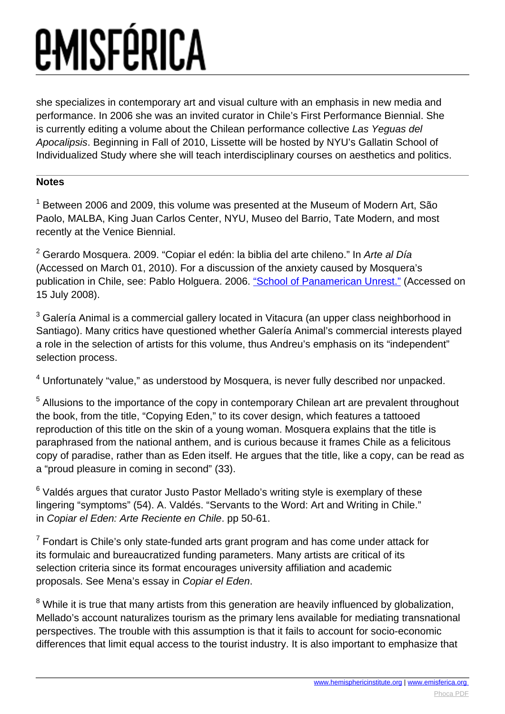# *<u>EMISFÉRICA</u>*

she specializes in contemporary art and visual culture with an emphasis in new media and performance. In 2006 she was an invited curator in Chile's First Performance Biennial. She is currently editing a volume about the Chilean performance collective Las Yeguas del Apocalipsis. Beginning in Fall of 2010, Lissette will be hosted by NYU's Gallatin School of Individualized Study where she will teach interdisciplinary courses on aesthetics and politics.

#### **Notes**

<sup>1</sup> Between 2006 and 2009, this volume was presented at the Museum of Modern Art, São Paolo, MALBA, King Juan Carlos Center, NYU, Museo del Barrio, Tate Modern, and most recently at the Venice Biennial.

<sup>2</sup> Gerardo Mosquera. 2009. "Copiar el edén: la biblia del arte chileno." In *Arte al Día* (Accessed on March 01, 2010). For a discussion of the anxiety caused by Mosquera's publication in Chile, see: Pablo Holguera. 2006. ["School of Panamerican Unrest."](http://www.panamericanismo.org/updates.php?start=4) (Accessed on 15 July 2008).

 $^3$  Galería Animal is a commercial gallery located in Vitacura (an upper class neighborhood in Santiago). Many critics have questioned whether Galería Animal's commercial interests played a role in the selection of artists for this volume, thus Andreu's emphasis on its "independent" selection process.

<sup>4</sup> Unfortunately "value," as understood by Mosquera, is never fully described nor unpacked.

<sup>5</sup> Allusions to the importance of the copy in contemporary Chilean art are prevalent throughout the book, from the title, "Copying Eden," to its cover design, which features a tattooed reproduction of this title on the skin of a young woman. Mosquera explains that the title is paraphrased from the national anthem, and is curious because it frames Chile as a felicitous copy of paradise, rather than as Eden itself. He argues that the title, like a copy, can be read as a "proud pleasure in coming in second" (33).

 $^6$  Valdés argues that curator Justo Pastor Mellado's writing style is exemplary of these lingering "symptoms" (54). A. Valdés. "Servants to the Word: Art and Writing in Chile." in Copiar el Eden: Arte Reciente en Chile. pp 50-61.

 $7$  Fondart is Chile's only state-funded arts grant program and has come under attack for its formulaic and bureaucratized funding parameters. Many artists are critical of its selection criteria since its format encourages university affiliation and academic proposals. See Mena's essay in Copiar el Eden.

 $8$  While it is true that many artists from this generation are heavily influenced by globalization, Mellado's account naturalizes tourism as the primary lens available for mediating transnational perspectives. The trouble with this assumption is that it fails to account for socio-economic differences that limit equal access to the tourist industry. It is also important to emphasize that